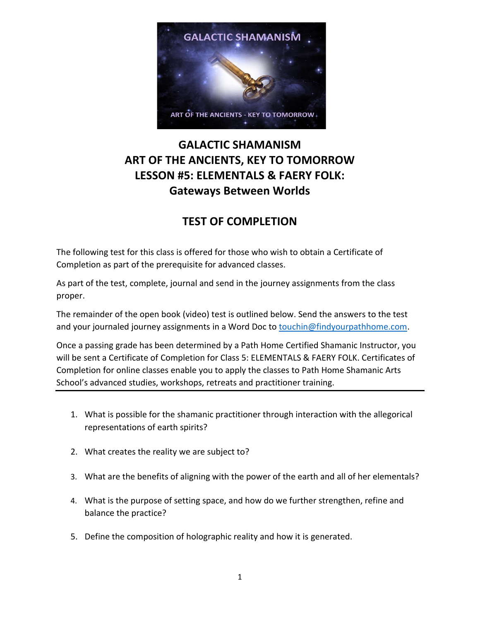

## **GALACTIC SHAMANISM ART OF THE ANCIENTS, KEY TO TOMORROW LESSON #5: ELEMENTALS & FAERY FOLK: Gateways Between Worlds**

## **TEST OF COMPLETION**

The following test for this class is offered for those who wish to obtain a Certificate of Completion as part of the prerequisite for advanced classes.

As part of the test, complete, journal and send in the journey assignments from the class proper.

The remainder of the open book (video) test is outlined below. Send the answers to the test and your journaled journey assignments in a Word Doc to [touchin@findyourpathhome.com.](mailto:touchin@findyourpathhome.com)

Once a passing grade has been determined by a Path Home Certified Shamanic Instructor, you will be sent a Certificate of Completion for Class 5: ELEMENTALS & FAERY FOLK. Certificates of Completion for online classes enable you to apply the classes to Path Home Shamanic Arts School's advanced studies, workshops, retreats and practitioner training.

- 1. What is possible for the shamanic practitioner through interaction with the allegorical representations of earth spirits?
- 2. What creates the reality we are subject to?
- 3. What are the benefits of aligning with the power of the earth and all of her elementals?
- 4. What is the purpose of setting space, and how do we further strengthen, refine and balance the practice?
- 5. Define the composition of holographic reality and how it is generated.